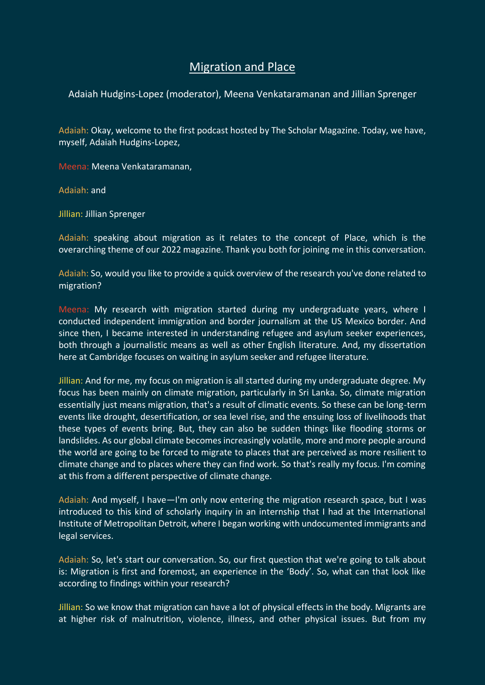## Migration and Place

Adaiah Hudgins-Lopez (moderator), Meena Venkataramanan and Jillian Sprenger

Adaiah: Okay, welcome to the first podcast hosted by The Scholar Magazine. Today, we have, myself, Adaiah Hudgins-Lopez,

Meena: Meena Venkataramanan,

Adaiah: and

Jillian: Jillian Sprenger

Adaiah: speaking about migration as it relates to the concept of Place, which is the overarching theme of our 2022 magazine. Thank you both for joining me in this conversation.

Adaiah: So, would you like to provide a quick overview of the research you've done related to migration?

Meena: My research with migration started during my undergraduate years, where I conducted independent immigration and border journalism at the US Mexico border. And since then, I became interested in understanding refugee and asylum seeker experiences, both through a journalistic means as well as other English literature. And, my dissertation here at Cambridge focuses on waiting in asylum seeker and refugee literature.

Jillian: And for me, my focus on migration is all started during my undergraduate degree. My focus has been mainly on climate migration, particularly in Sri Lanka. So, climate migration essentially just means migration, that's a result of climatic events. So these can be long-term events like drought, desertification, or sea level rise, and the ensuing loss of livelihoods that these types of events bring. But, they can also be sudden things like flooding storms or landslides. As our global climate becomes increasingly volatile, more and more people around the world are going to be forced to migrate to places that are perceived as more resilient to climate change and to places where they can find work. So that's really my focus. I'm coming at this from a different perspective of climate change.

Adaiah: And myself, I have—I'm only now entering the migration research space, but I was introduced to this kind of scholarly inquiry in an internship that I had at the International Institute of Metropolitan Detroit, where I began working with undocumented immigrants and legal services.

Adaiah: So, let's start our conversation. So, our first question that we're going to talk about is: Migration is first and foremost, an experience in the 'Body'. So, what can that look like according to findings within your research?

Jillian: So we know that migration can have a lot of physical effects in the body. Migrants are at higher risk of malnutrition, violence, illness, and other physical issues. But from my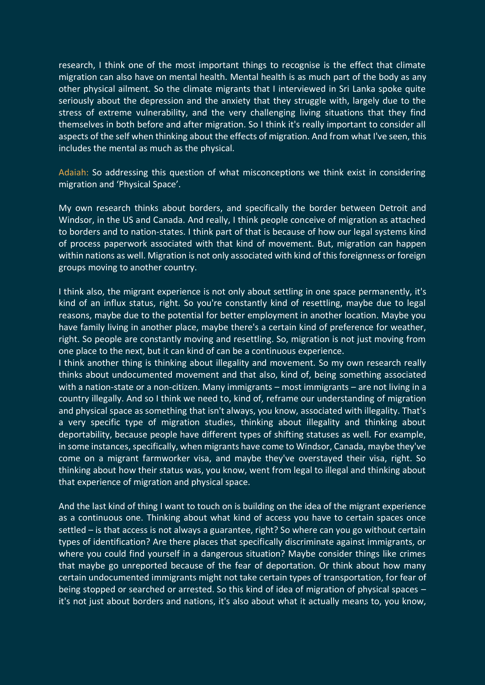research, I think one of the most important things to recognise is the effect that climate migration can also have on mental health. Mental health is as much part of the body as any other physical ailment. So the climate migrants that I interviewed in Sri Lanka spoke quite seriously about the depression and the anxiety that they struggle with, largely due to the stress of extreme vulnerability, and the very challenging living situations that they find themselves in both before and after migration. So I think it's really important to consider all aspects of the self when thinking about the effects of migration. And from what I've seen, this includes the mental as much as the physical.

Adaiah: So addressing this question of what misconceptions we think exist in considering migration and 'Physical Space'.

My own research thinks about borders, and specifically the border between Detroit and Windsor, in the US and Canada. And really, I think people conceive of migration as attached to borders and to nation-states. I think part of that is because of how our legal systems kind of process paperwork associated with that kind of movement. But, migration can happen within nations as well. Migration is not only associated with kind of this foreignness or foreign groups moving to another country.

I think also, the migrant experience is not only about settling in one space permanently, it's kind of an influx status, right. So you're constantly kind of resettling, maybe due to legal reasons, maybe due to the potential for better employment in another location. Maybe you have family living in another place, maybe there's a certain kind of preference for weather, right. So people are constantly moving and resettling. So, migration is not just moving from one place to the next, but it can kind of can be a continuous experience.

I think another thing is thinking about illegality and movement. So my own research really thinks about undocumented movement and that also, kind of, being something associated with a nation-state or a non-citizen. Many immigrants – most immigrants – are not living in a country illegally. And so I think we need to, kind of, reframe our understanding of migration and physical space as something that isn't always, you know, associated with illegality. That's a very specific type of migration studies, thinking about illegality and thinking about deportability, because people have different types of shifting statuses as well. For example, in some instances, specifically, when migrants have come to Windsor, Canada, maybe they've come on a migrant farmworker visa, and maybe they've overstayed their visa, right. So thinking about how their status was, you know, went from legal to illegal and thinking about that experience of migration and physical space.

And the last kind of thing I want to touch on is building on the idea of the migrant experience as a continuous one. Thinking about what kind of access you have to certain spaces once settled – is that access is not always a guarantee, right? So where can you go without certain types of identification? Are there places that specifically discriminate against immigrants, or where you could find yourself in a dangerous situation? Maybe consider things like crimes that maybe go unreported because of the fear of deportation. Or think about how many certain undocumented immigrants might not take certain types of transportation, for fear of being stopped or searched or arrested. So this kind of idea of migration of physical spaces – it's not just about borders and nations, it's also about what it actually means to, you know,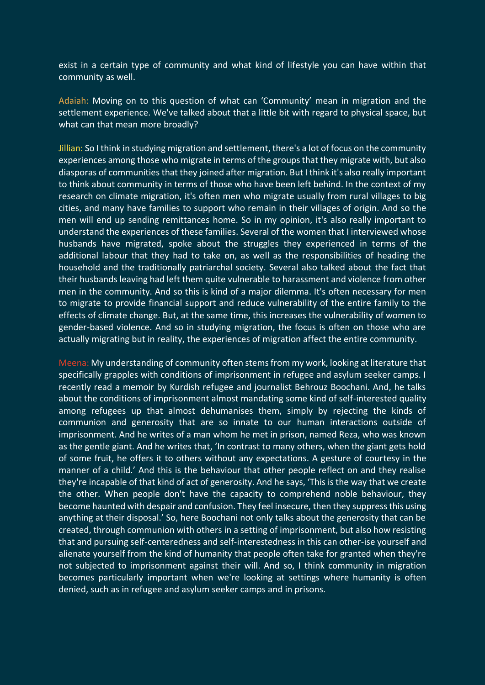exist in a certain type of community and what kind of lifestyle you can have within that community as well.

Adaiah: Moving on to this question of what can 'Community' mean in migration and the settlement experience. We've talked about that a little bit with regard to physical space, but what can that mean more broadly?

Jillian: So I think in studying migration and settlement, there's a lot of focus on the community experiences among those who migrate in terms of the groups that they migrate with, but also diasporas of communities that they joined after migration. But I think it's also really important to think about community in terms of those who have been left behind. In the context of my research on climate migration, it's often men who migrate usually from rural villages to big cities, and many have families to support who remain in their villages of origin. And so the men will end up sending remittances home. So in my opinion, it's also really important to understand the experiences of these families. Several of the women that I interviewed whose husbands have migrated, spoke about the struggles they experienced in terms of the additional labour that they had to take on, as well as the responsibilities of heading the household and the traditionally patriarchal society. Several also talked about the fact that their husbands leaving had left them quite vulnerable to harassment and violence from other men in the community. And so this is kind of a major dilemma. It's often necessary for men to migrate to provide financial support and reduce vulnerability of the entire family to the effects of climate change. But, at the same time, this increases the vulnerability of women to gender-based violence. And so in studying migration, the focus is often on those who are actually migrating but in reality, the experiences of migration affect the entire community.

Meena: My understanding of community often stems from my work, looking at literature that specifically grapples with conditions of imprisonment in refugee and asylum seeker camps. I recently read a memoir by Kurdish refugee and journalist Behrouz Boochani. And, he talks about the conditions of imprisonment almost mandating some kind of self-interested quality among refugees up that almost dehumanises them, simply by rejecting the kinds of communion and generosity that are so innate to our human interactions outside of imprisonment. And he writes of a man whom he met in prison, named Reza, who was known as the gentle giant. And he writes that, 'In contrast to many others, when the giant gets hold of some fruit, he offers it to others without any expectations. A gesture of courtesy in the manner of a child.' And this is the behaviour that other people reflect on and they realise they're incapable of that kind of act of generosity. And he says, 'This is the way that we create the other. When people don't have the capacity to comprehend noble behaviour, they become haunted with despair and confusion. They feel insecure, then they suppress this using anything at their disposal.' So, here Boochani not only talks about the generosity that can be created, through communion with others in a setting of imprisonment, but also how resisting that and pursuing self-centeredness and self-interestedness in this can other-ise yourself and alienate yourself from the kind of humanity that people often take for granted when they're not subjected to imprisonment against their will. And so, I think community in migration becomes particularly important when we're looking at settings where humanity is often denied, such as in refugee and asylum seeker camps and in prisons.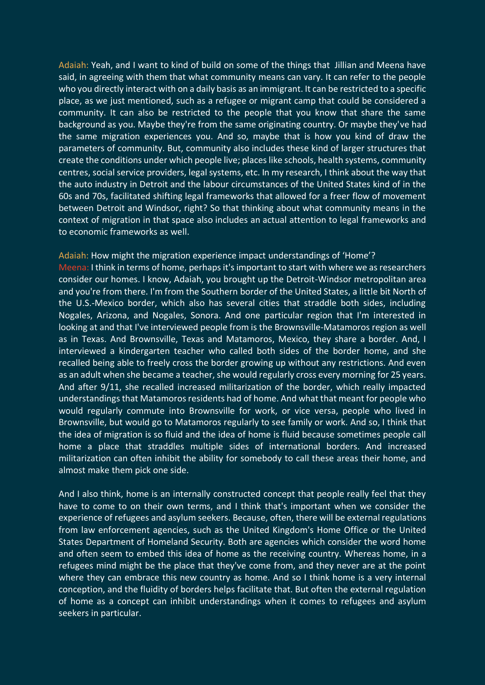Adaiah: Yeah, and I want to kind of build on some of the things that Jillian and Meena have said, in agreeing with them that what community means can vary. It can refer to the people who you directly interact with on a daily basis as an immigrant. It can be restricted to a specific place, as we just mentioned, such as a refugee or migrant camp that could be considered a community. It can also be restricted to the people that you know that share the same background as you. Maybe they're from the same originating country. Or maybe they've had the same migration experiences you. And so, maybe that is how you kind of draw the parameters of community. But, community also includes these kind of larger structures that create the conditions under which people live; places like schools, health systems, community centres, social service providers, legal systems, etc. In my research, I think about the way that the auto industry in Detroit and the labour circumstances of the United States kind of in the 60s and 70s, facilitated shifting legal frameworks that allowed for a freer flow of movement between Detroit and Windsor, right? So that thinking about what community means in the context of migration in that space also includes an actual attention to legal frameworks and to economic frameworks as well.

## Adaiah: How might the migration experience impact understandings of 'Home'?

Meena: I think in terms of home, perhaps it's important to start with where we as researchers consider our homes. I know, Adaiah, you brought up the Detroit-Windsor metropolitan area and you're from there. I'm from the Southern border of the United States, a little bit North of the U.S.-Mexico border, which also has several cities that straddle both sides, including Nogales, Arizona, and Nogales, Sonora. And one particular region that I'm interested in looking at and that I've interviewed people from is the Brownsville-Matamoros region as well as in Texas. And Brownsville, Texas and Matamoros, Mexico, they share a border. And, I interviewed a kindergarten teacher who called both sides of the border home, and she recalled being able to freely cross the border growing up without any restrictions. And even as an adult when she became a teacher, she would regularly cross every morning for 25 years. And after 9/11, she recalled increased militarization of the border, which really impacted understandings that Matamoros residents had of home. And what that meant for people who would regularly commute into Brownsville for work, or vice versa, people who lived in Brownsville, but would go to Matamoros regularly to see family or work. And so, I think that the idea of migration is so fluid and the idea of home is fluid because sometimes people call home a place that straddles multiple sides of international borders. And increased militarization can often inhibit the ability for somebody to call these areas their home, and almost make them pick one side.

And I also think, home is an internally constructed concept that people really feel that they have to come to on their own terms, and I think that's important when we consider the experience of refugees and asylum seekers. Because, often, there will be external regulations from law enforcement agencies, such as the United Kingdom's Home Office or the United States Department of Homeland Security. Both are agencies which consider the word home and often seem to embed this idea of home as the receiving country. Whereas home, in a refugees mind might be the place that they've come from, and they never are at the point where they can embrace this new country as home. And so I think home is a very internal conception, and the fluidity of borders helps facilitate that. But often the external regulation of home as a concept can inhibit understandings when it comes to refugees and asylum seekers in particular.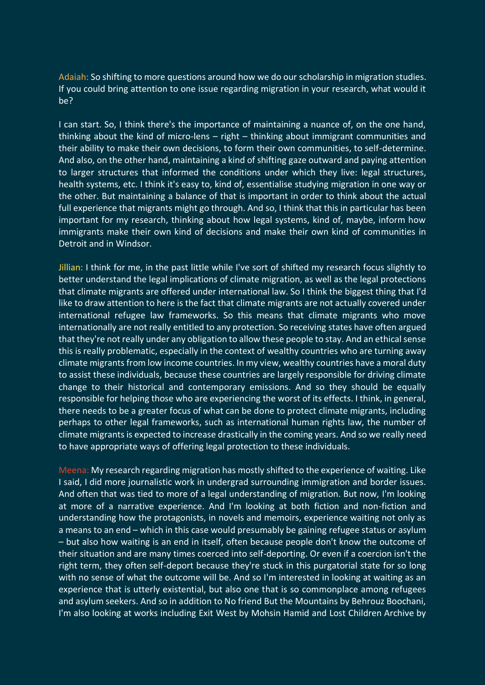Adaiah: So shifting to more questions around how we do our scholarship in migration studies. If you could bring attention to one issue regarding migration in your research, what would it be?

I can start. So, I think there's the importance of maintaining a nuance of, on the one hand, thinking about the kind of micro-lens – right – thinking about immigrant communities and their ability to make their own decisions, to form their own communities, to self-determine. And also, on the other hand, maintaining a kind of shifting gaze outward and paying attention to larger structures that informed the conditions under which they live: legal structures, health systems, etc. I think it's easy to, kind of, essentialise studying migration in one way or the other. But maintaining a balance of that is important in order to think about the actual full experience that migrants might go through. And so, I think that this in particular has been important for my research, thinking about how legal systems, kind of, maybe, inform how immigrants make their own kind of decisions and make their own kind of communities in Detroit and in Windsor.

Jillian: I think for me, in the past little while I've sort of shifted my research focus slightly to better understand the legal implications of climate migration, as well as the legal protections that climate migrants are offered under international law. So I think the biggest thing that I'd like to draw attention to here is the fact that climate migrants are not actually covered under international refugee law frameworks. So this means that climate migrants who move internationally are not really entitled to any protection. So receiving states have often argued that they're not really under any obligation to allow these people to stay. And an ethical sense this is really problematic, especially in the context of wealthy countries who are turning away climate migrants from low income countries. In my view, wealthy countries have a moral duty to assist these individuals, because these countries are largely responsible for driving climate change to their historical and contemporary emissions. And so they should be equally responsible for helping those who are experiencing the worst of its effects. I think, in general, there needs to be a greater focus of what can be done to protect climate migrants, including perhaps to other legal frameworks, such as international human rights law, the number of climate migrants is expected to increase drastically in the coming years. And so we really need to have appropriate ways of offering legal protection to these individuals.

Meena: My research regarding migration has mostly shifted to the experience of waiting. Like I said, I did more journalistic work in undergrad surrounding immigration and border issues. And often that was tied to more of a legal understanding of migration. But now, I'm looking at more of a narrative experience. And I'm looking at both fiction and non-fiction and understanding how the protagonists, in novels and memoirs, experience waiting not only as a means to an end – which in this case would presumably be gaining refugee status or asylum – but also how waiting is an end in itself, often because people don't know the outcome of their situation and are many times coerced into self-deporting. Or even if a coercion isn't the right term, they often self-deport because they're stuck in this purgatorial state for so long with no sense of what the outcome will be. And so I'm interested in looking at waiting as an experience that is utterly existential, but also one that is so commonplace among refugees and asylum seekers. And so in addition to No friend But the Mountains by Behrouz Boochani, I'm also looking at works including Exit West by Mohsin Hamid and Lost Children Archive by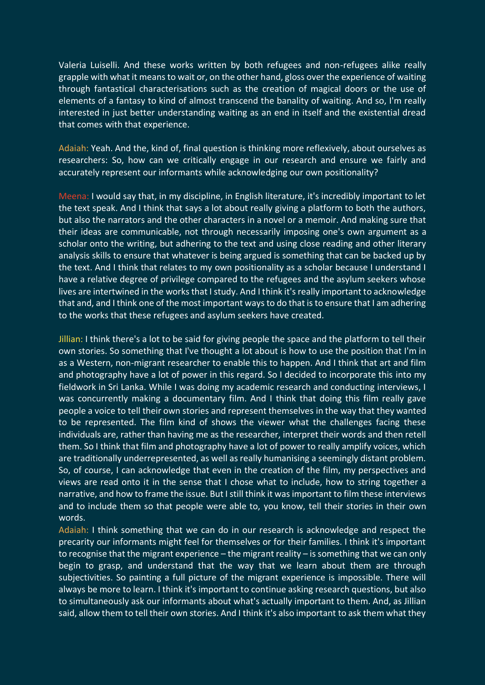Valeria Luiselli. And these works written by both refugees and non-refugees alike really grapple with what it means to wait or, on the other hand, gloss over the experience of waiting through fantastical characterisations such as the creation of magical doors or the use of elements of a fantasy to kind of almost transcend the banality of waiting. And so, I'm really interested in just better understanding waiting as an end in itself and the existential dread that comes with that experience.

Adaiah: Yeah. And the, kind of, final question is thinking more reflexively, about ourselves as researchers: So, how can we critically engage in our research and ensure we fairly and accurately represent our informants while acknowledging our own positionality?

Meena: I would say that, in my discipline, in English literature, it's incredibly important to let the text speak. And I think that says a lot about really giving a platform to both the authors, but also the narrators and the other characters in a novel or a memoir. And making sure that their ideas are communicable, not through necessarily imposing one's own argument as a scholar onto the writing, but adhering to the text and using close reading and other literary analysis skills to ensure that whatever is being argued is something that can be backed up by the text. And I think that relates to my own positionality as a scholar because I understand I have a relative degree of privilege compared to the refugees and the asylum seekers whose lives are intertwined in the works that I study. And I think it's really important to acknowledge that and, and I think one of the most important ways to do that is to ensure that I am adhering to the works that these refugees and asylum seekers have created.

Jillian: I think there's a lot to be said for giving people the space and the platform to tell their own stories. So something that I've thought a lot about is how to use the position that I'm in as a Western, non-migrant researcher to enable this to happen. And I think that art and film and photography have a lot of power in this regard. So I decided to incorporate this into my fieldwork in Sri Lanka. While I was doing my academic research and conducting interviews, I was concurrently making a documentary film. And I think that doing this film really gave people a voice to tell their own stories and represent themselves in the way that they wanted to be represented. The film kind of shows the viewer what the challenges facing these individuals are, rather than having me as the researcher, interpret their words and then retell them. So I think that film and photography have a lot of power to really amplify voices, which are traditionally underrepresented, as well as really humanising a seemingly distant problem. So, of course, I can acknowledge that even in the creation of the film, my perspectives and views are read onto it in the sense that I chose what to include, how to string together a narrative, and how to frame the issue. But I still think it was important to film these interviews and to include them so that people were able to, you know, tell their stories in their own words.

Adaiah: I think something that we can do in our research is acknowledge and respect the precarity our informants might feel for themselves or for their families. I think it's important to recognise that the migrant experience – the migrant reality – is something that we can only begin to grasp, and understand that the way that we learn about them are through subjectivities. So painting a full picture of the migrant experience is impossible. There will always be more to learn. I think it's important to continue asking research questions, but also to simultaneously ask our informants about what's actually important to them. And, as Jillian said, allow them to tell their own stories. And I think it's also important to ask them what they